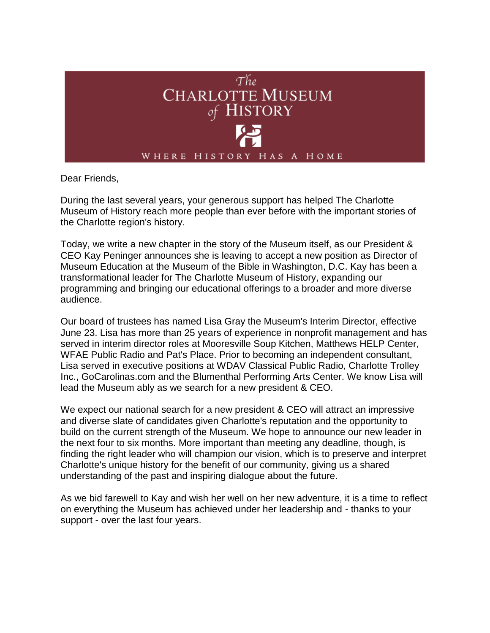

Dear Friends,

During the last several years, your generous support has helped The Charlotte Museum of History reach more people than ever before with the important stories of the Charlotte region's history.

Today, we write a new chapter in the story of the Museum itself, as our President & CEO Kay Peninger announces she is leaving to accept a new position as Director of Museum Education at the Museum of the Bible in Washington, D.C. Kay has been a transformational leader for The Charlotte Museum of History, expanding our programming and bringing our educational offerings to a broader and more diverse audience.

Our board of trustees has named Lisa Gray the Museum's Interim Director, effective June 23. Lisa has more than 25 years of experience in nonprofit management and has served in interim director roles at Mooresville Soup Kitchen, Matthews HELP Center, WFAE Public Radio and Pat's Place. Prior to becoming an independent consultant, Lisa served in executive positions at WDAV Classical Public Radio, Charlotte Trolley Inc., GoCarolinas.com and the Blumenthal Performing Arts Center. We know Lisa will lead the Museum ably as we search for a new president & CEO.

We expect our national search for a new president & CEO will attract an impressive and diverse slate of candidates given Charlotte's reputation and the opportunity to build on the current strength of the Museum. We hope to announce our new leader in the next four to six months. More important than meeting any deadline, though, is finding the right leader who will champion our vision, which is to preserve and interpret Charlotte's unique history for the benefit of our community, giving us a shared understanding of the past and inspiring dialogue about the future.

As we bid farewell to Kay and wish her well on her new adventure, it is a time to reflect on everything the Museum has achieved under her leadership and - thanks to your support - over the last four years.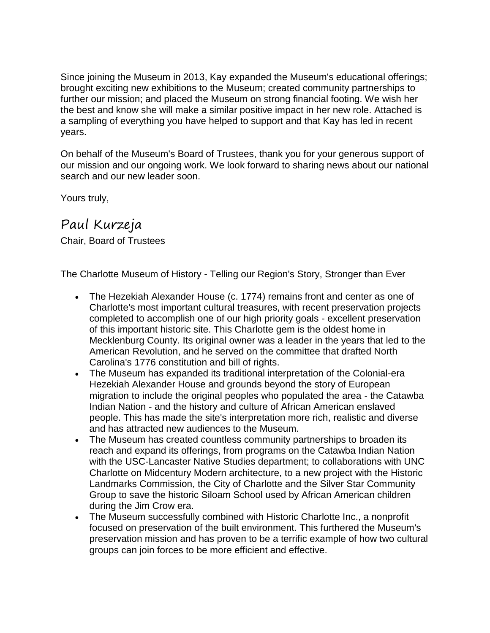Since joining the Museum in 2013, Kay expanded the Museum's educational offerings; brought exciting new exhibitions to the Museum; created community partnerships to further our mission; and placed the Museum on strong financial footing. We wish her the best and know she will make a similar positive impact in her new role. Attached is a sampling of everything you have helped to support and that Kay has led in recent years.

On behalf of the Museum's Board of Trustees, thank you for your generous support of our mission and our ongoing work. We look forward to sharing news about our national search and our new leader soon.

Yours truly,

## Paul Kurzeja

Chair, Board of Trustees

The Charlotte Museum of History - Telling our Region's Story, Stronger than Ever

- The Hezekiah Alexander House (c. 1774) remains front and center as one of Charlotte's most important cultural treasures, with recent preservation projects completed to accomplish one of our high priority goals - excellent preservation of this important historic site. This Charlotte gem is the oldest home in Mecklenburg County. Its original owner was a leader in the years that led to the American Revolution, and he served on the committee that drafted North Carolina's 1776 constitution and bill of rights.
- The Museum has expanded its traditional interpretation of the Colonial-era Hezekiah Alexander House and grounds beyond the story of European migration to include the original peoples who populated the area - the Catawba Indian Nation - and the history and culture of African American enslaved people. This has made the site's interpretation more rich, realistic and diverse and has attracted new audiences to the Museum.
- The Museum has created countless community partnerships to broaden its reach and expand its offerings, from programs on the Catawba Indian Nation with the USC-Lancaster Native Studies department; to collaborations with UNC Charlotte on Midcentury Modern architecture, to a new project with the Historic Landmarks Commission, the City of Charlotte and the Silver Star Community Group to save the historic Siloam School used by African American children during the Jim Crow era.
- The Museum successfully combined with Historic Charlotte Inc., a nonprofit focused on preservation of the built environment. This furthered the Museum's preservation mission and has proven to be a terrific example of how two cultural groups can join forces to be more efficient and effective.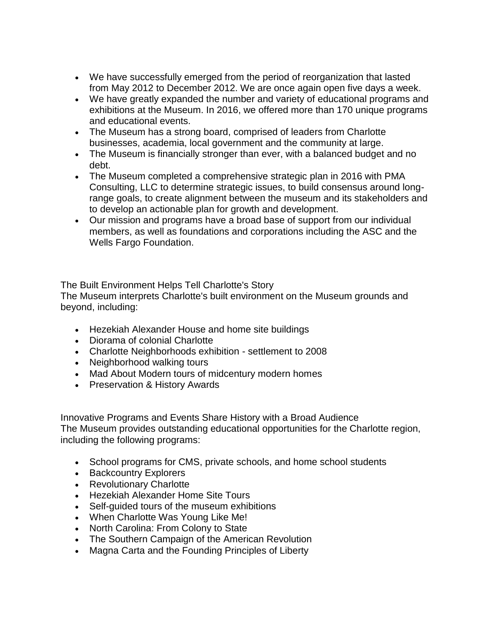- We have successfully emerged from the period of reorganization that lasted from May 2012 to December 2012. We are once again open five days a week.
- We have greatly expanded the number and variety of educational programs and exhibitions at the Museum. In 2016, we offered more than 170 unique programs and educational events.
- The Museum has a strong board, comprised of leaders from Charlotte businesses, academia, local government and the community at large.
- The Museum is financially stronger than ever, with a balanced budget and no debt.
- The Museum completed a comprehensive strategic plan in 2016 with PMA Consulting, LLC to determine strategic issues, to build consensus around longrange goals, to create alignment between the museum and its stakeholders and to develop an actionable plan for growth and development.
- Our mission and programs have a broad base of support from our individual members, as well as foundations and corporations including the ASC and the Wells Fargo Foundation.

The Built Environment Helps Tell Charlotte's Story

The Museum interprets Charlotte's built environment on the Museum grounds and beyond, including:

- Hezekiah Alexander House and home site buildings
- Diorama of colonial Charlotte
- Charlotte Neighborhoods exhibition settlement to 2008
- Neighborhood walking tours
- Mad About Modern tours of midcentury modern homes
- Preservation & History Awards

Innovative Programs and Events Share History with a Broad Audience The Museum provides outstanding educational opportunities for the Charlotte region, including the following programs:

- School programs for CMS, private schools, and home school students
- Backcountry Explorers
- Revolutionary Charlotte
- Hezekiah Alexander Home Site Tours
- Self-quided tours of the museum exhibitions
- When Charlotte Was Young Like Me!
- North Carolina: From Colony to State
- The Southern Campaign of the American Revolution
- Magna Carta and the Founding Principles of Liberty